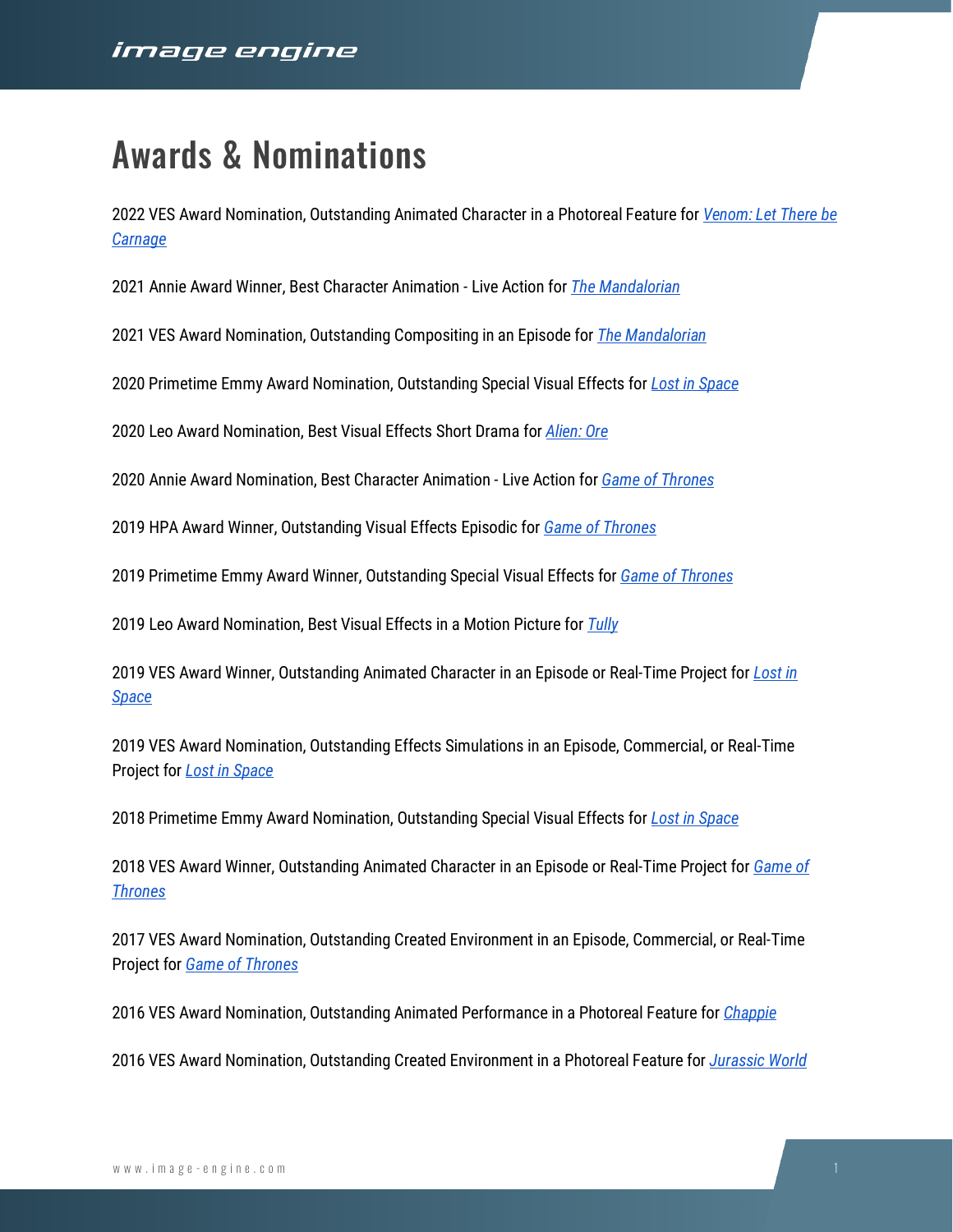## Awards & Nominations

2022 VES Award Nomination, Outstanding Animated Character in a Photoreal Feature for *[Venom: Let There be](https://image-engine.com/portfolio/venom-let-there-be-carnage/)  [Carnage](https://image-engine.com/portfolio/venom-let-there-be-carnage/)*

2021 Annie Award Winner, Best Character Animation - Live Action for *[The Mandalorian](https://image-engine.com/portfolio/the-mandalorian-season-2/)*

2021 VES Award Nomination, Outstanding Compositing in an Episode for *[The Mandalorian](https://image-engine.com/portfolio/the-mandalorian-season-2/)*

2020 Primetime Emmy Award Nomination, Outstanding Special Visual Effects for *[Lost in Space](https://image-engine.com/portfolio/lost-in-space-season-2/)*

2020 Leo Award Nomination, Best Visual Effects Short Drama for *[Alien: Ore](https://image-engine.com/portfolio/alien-ore/)*

2020 Annie Award Nomination, Best Character Animation - Live Action for *[Game of Thrones](https://image-engine.com/portfolio/game-of-thrones-season-8/)*

2019 HPA Award Winner, Outstanding Visual Effects Episodic for *[Game of Thrones](https://image-engine.com/portfolio/game-of-thrones-season-8/)*

2019 Primetime Emmy Award Winner, Outstanding Special Visual Effects for *[Game of Thrones](https://image-engine.com/portfolio/game-of-thrones-season-8/)*

2019 Leo Award Nomination, Best Visual Effects in a Motion Picture for *[Tully](https://image-engine.com/portfolio/tully/)*

2019 VES Award Winner, Outstanding Animated Character in an Episode or Real-Time Project for *[Lost in](https://image-engine.com/portfolio/lost-in-space-season-1/)  [Space](https://image-engine.com/portfolio/lost-in-space-season-1/)*

2019 VES Award Nomination, Outstanding Effects Simulations in an Episode, Commercial, or Real-Time Project for *[Lost in Space](https://image-engine.com/portfolio/lost-in-space-season-1/)*

2018 Primetime Emmy Award Nomination, Outstanding Special Visual Effects for *[Lost in Space](https://image-engine.com/portfolio/lost-in-space-season-1/)*

2018 VES Award Winner, Outstanding Animated Character in an Episode or Real-Time Project for *[Game of](https://image-engine.com/portfolio/game-of-thrones-season-7/)  [Thrones](https://image-engine.com/portfolio/game-of-thrones-season-7/)*

2017 VES Award Nomination, Outstanding Created Environment in an Episode, Commercial, or Real-Time Project for *[Game of Thrones](https://image-engine.com/portfolio/game-of-thrones-season-6/)*

2016 VES Award Nomination, Outstanding Animated Performance in a Photoreal Feature for *[Chappie](https://image-engine.com/portfolio/chappie/)*

2016 VES Award Nomination, Outstanding Created Environment in a Photoreal Feature for *[Jurassic World](https://image-engine.com/portfolio/jurassic-world/)*